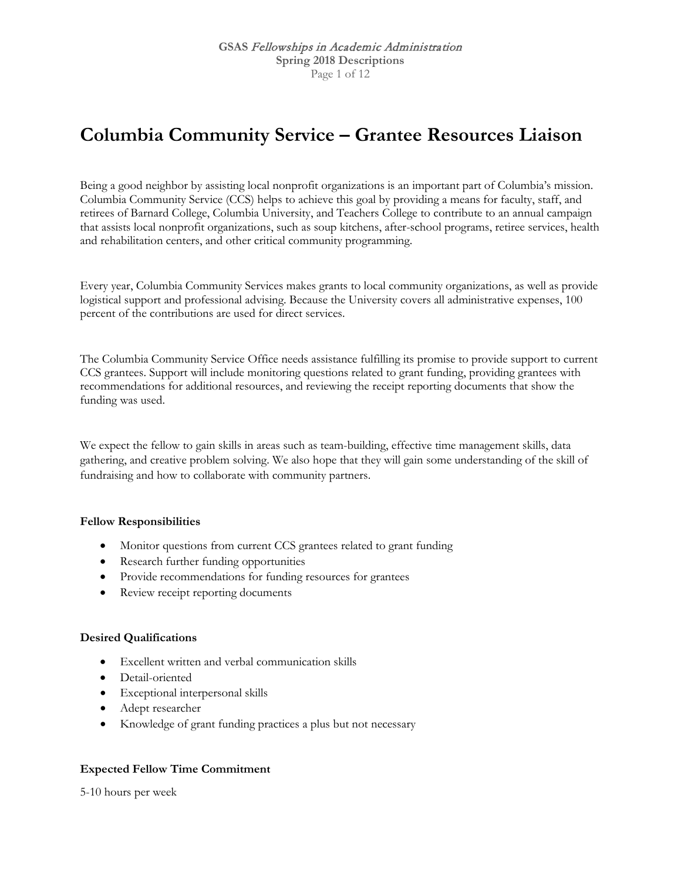## **Columbia Community Service – Grantee Resources Liaison**

Being a good neighbor by assisting local nonprofit organizations is an important part of Columbia's mission. Columbia Community Service (CCS) helps to achieve this goal by providing a means for faculty, staff, and retirees of Barnard College, Columbia University, and Teachers College to contribute to an annual campaign that assists local nonprofit organizations, such as soup kitchens, after-school programs, retiree services, health and rehabilitation centers, and other critical community programming.

Every year, Columbia Community Services makes grants to local community organizations, as well as provide logistical support and professional advising. Because the University covers all administrative expenses, 100 percent of the contributions are used for direct services.

The Columbia Community Service Office needs assistance fulfilling its promise to provide support to current CCS grantees. Support will include monitoring questions related to grant funding, providing grantees with recommendations for additional resources, and reviewing the receipt reporting documents that show the funding was used.

We expect the fellow to gain skills in areas such as team-building, effective time management skills, data gathering, and creative problem solving. We also hope that they will gain some understanding of the skill of fundraising and how to collaborate with community partners.

### **Fellow Responsibilities**

- Monitor questions from current CCS grantees related to grant funding
- Research further funding opportunities
- Provide recommendations for funding resources for grantees
- Review receipt reporting documents

#### **Desired Qualifications**

- Excellent written and verbal communication skills
- Detail-oriented
- Exceptional interpersonal skills
- Adept researcher
- Knowledge of grant funding practices a plus but not necessary

### **Expected Fellow Time Commitment**

5-10 hours per week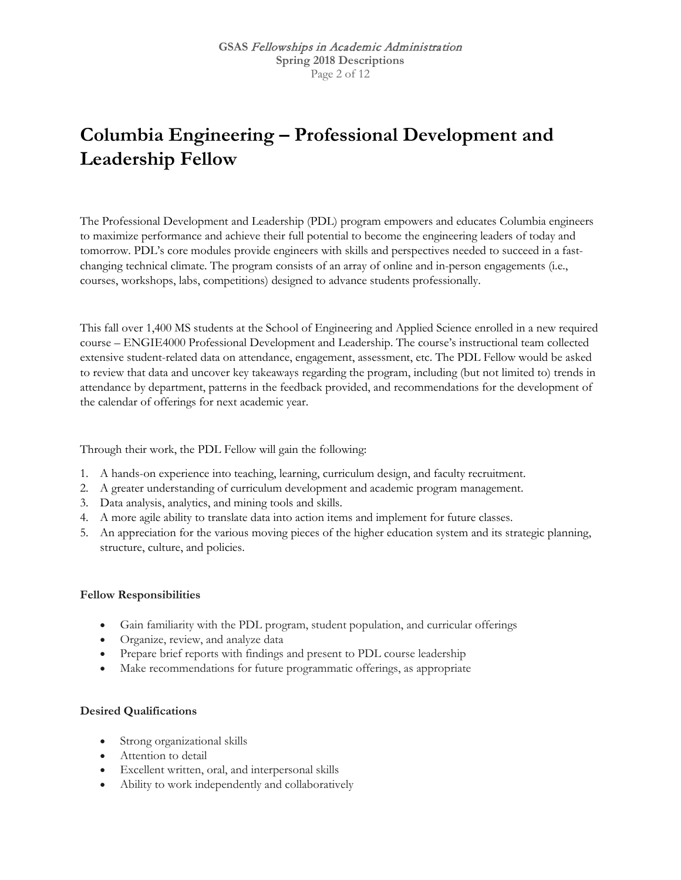# **Columbia Engineering – Professional Development and Leadership Fellow**

The Professional Development and Leadership (PDL) program empowers and educates Columbia engineers to maximize performance and achieve their full potential to become the engineering leaders of today and tomorrow. PDL's core modules provide engineers with skills and perspectives needed to succeed in a fastchanging technical climate. The program consists of an array of online and in-person engagements (i.e., courses, workshops, labs, competitions) designed to advance students professionally.

This fall over 1,400 MS students at the School of Engineering and Applied Science enrolled in a new required course – ENGIE4000 Professional Development and Leadership. The course's instructional team collected extensive student-related data on attendance, engagement, assessment, etc. The PDL Fellow would be asked to review that data and uncover key takeaways regarding the program, including (but not limited to) trends in attendance by department, patterns in the feedback provided, and recommendations for the development of the calendar of offerings for next academic year.

Through their work, the PDL Fellow will gain the following:

- 1. A hands-on experience into teaching, learning, curriculum design, and faculty recruitment.
- 2. A greater understanding of curriculum development and academic program management.
- 3. Data analysis, analytics, and mining tools and skills.
- 4. A more agile ability to translate data into action items and implement for future classes.
- 5. An appreciation for the various moving pieces of the higher education system and its strategic planning, structure, culture, and policies.

### **Fellow Responsibilities**

- Gain familiarity with the PDL program, student population, and curricular offerings
- Organize, review, and analyze data
- Prepare brief reports with findings and present to PDL course leadership
- Make recommendations for future programmatic offerings, as appropriate

### **Desired Qualifications**

- Strong organizational skills
- Attention to detail
- Excellent written, oral, and interpersonal skills
- Ability to work independently and collaboratively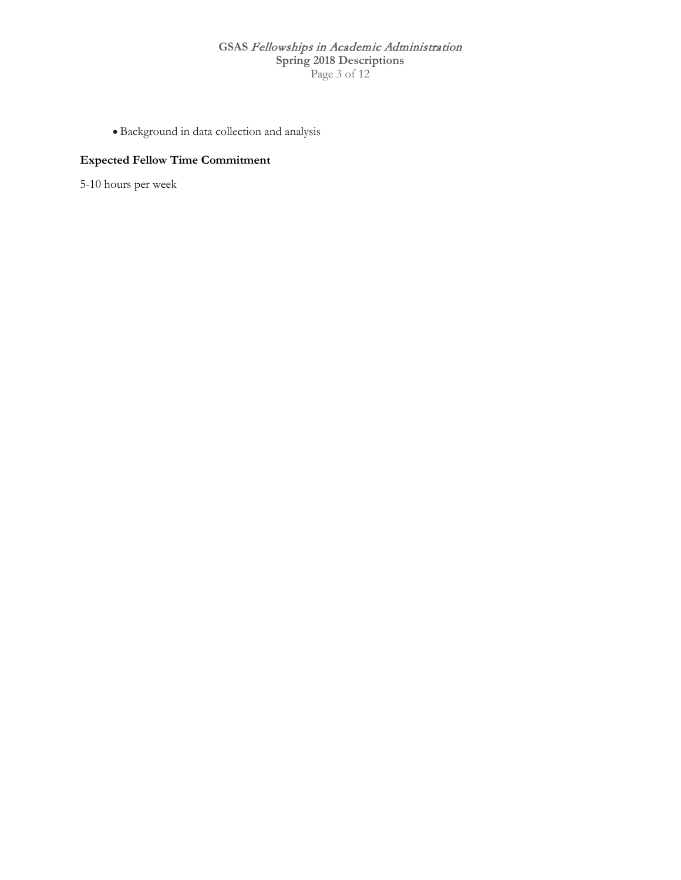### **GSAS** Fellowships in Academic Administration **Spring 2018 Descriptions** Page 3 of 12

• Background in data collection and analysis

### **Expected Fellow Time Commitment**

5-10 hours per week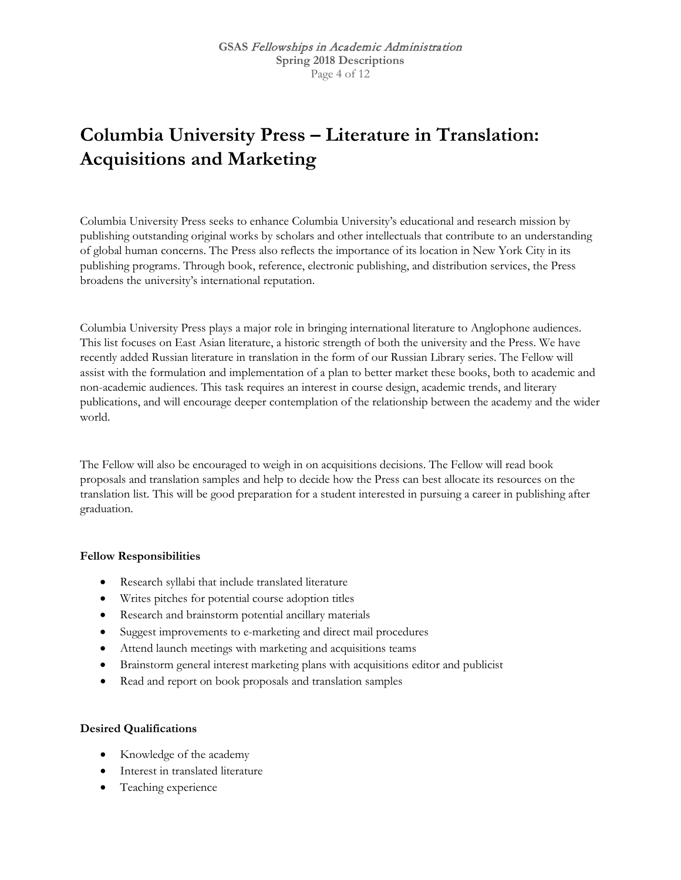# **Columbia University Press – Literature in Translation: Acquisitions and Marketing**

Columbia University Press seeks to enhance Columbia University's educational and research mission by publishing outstanding original works by scholars and other intellectuals that contribute to an understanding of global human concerns. The Press also reflects the importance of its location in New York City in its publishing programs. Through book, reference, electronic publishing, and distribution services, the Press broadens the university's international reputation.

Columbia University Press plays a major role in bringing international literature to Anglophone audiences. This list focuses on East Asian literature, a historic strength of both the university and the Press. We have recently added Russian literature in translation in the form of our Russian Library series. The Fellow will assist with the formulation and implementation of a plan to better market these books, both to academic and non-academic audiences. This task requires an interest in course design, academic trends, and literary publications, and will encourage deeper contemplation of the relationship between the academy and the wider world.

The Fellow will also be encouraged to weigh in on acquisitions decisions. The Fellow will read book proposals and translation samples and help to decide how the Press can best allocate its resources on the translation list. This will be good preparation for a student interested in pursuing a career in publishing after graduation.

### **Fellow Responsibilities**

- Research syllabi that include translated literature
- Writes pitches for potential course adoption titles
- Research and brainstorm potential ancillary materials
- Suggest improvements to e-marketing and direct mail procedures
- Attend launch meetings with marketing and acquisitions teams
- Brainstorm general interest marketing plans with acquisitions editor and publicist
- Read and report on book proposals and translation samples

### **Desired Qualifications**

- Knowledge of the academy
- Interest in translated literature
- Teaching experience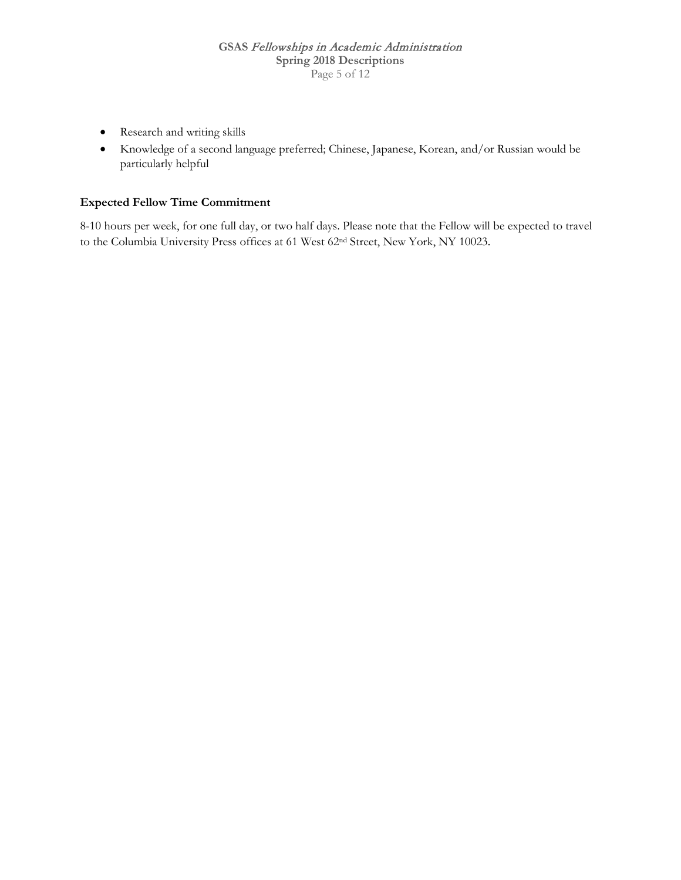- Research and writing skills
- Knowledge of a second language preferred; Chinese, Japanese, Korean, and/or Russian would be particularly helpful

### **Expected Fellow Time Commitment**

8-10 hours per week, for one full day, or two half days. Please note that the Fellow will be expected to travel to the Columbia University Press offices at 61 West 62nd Street, New York, NY 10023.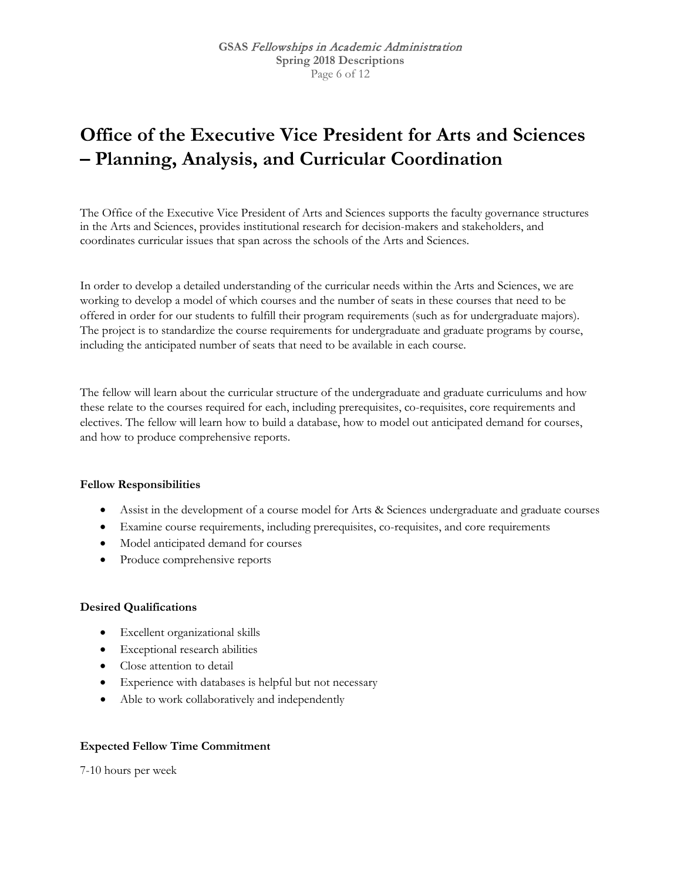## **Office of the Executive Vice President for Arts and Sciences – Planning, Analysis, and Curricular Coordination**

The Office of the Executive Vice President of Arts and Sciences supports the faculty governance structures in the Arts and Sciences, provides institutional research for decision-makers and stakeholders, and coordinates curricular issues that span across the schools of the Arts and Sciences.

In order to develop a detailed understanding of the curricular needs within the Arts and Sciences, we are working to develop a model of which courses and the number of seats in these courses that need to be offered in order for our students to fulfill their program requirements (such as for undergraduate majors). The project is to standardize the course requirements for undergraduate and graduate programs by course, including the anticipated number of seats that need to be available in each course.

The fellow will learn about the curricular structure of the undergraduate and graduate curriculums and how these relate to the courses required for each, including prerequisites, co-requisites, core requirements and electives. The fellow will learn how to build a database, how to model out anticipated demand for courses, and how to produce comprehensive reports.

### **Fellow Responsibilities**

- Assist in the development of a course model for Arts & Sciences undergraduate and graduate courses
- Examine course requirements, including prerequisites, co-requisites, and core requirements
- Model anticipated demand for courses
- Produce comprehensive reports

#### **Desired Qualifications**

- Excellent organizational skills
- Exceptional research abilities
- Close attention to detail
- Experience with databases is helpful but not necessary
- Able to work collaboratively and independently

### **Expected Fellow Time Commitment**

7-10 hours per week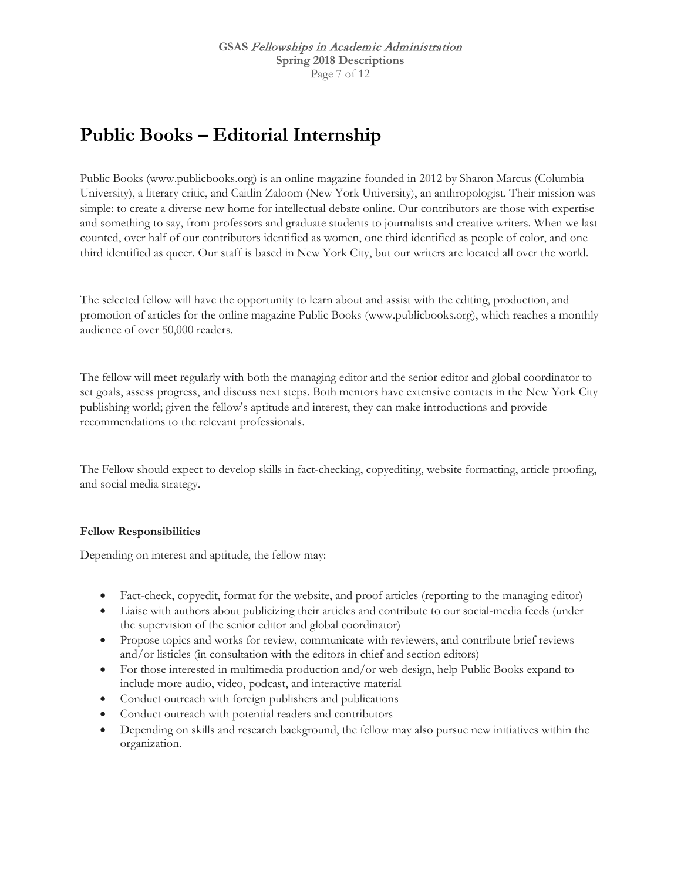## **Public Books – Editorial Internship**

Public Books (www.publicbooks.org) is an online magazine founded in 2012 by Sharon Marcus (Columbia University), a literary critic, and Caitlin Zaloom (New York University), an anthropologist. Their mission was simple: to create a diverse new home for intellectual debate online. Our contributors are those with expertise and something to say, from professors and graduate students to journalists and creative writers. When we last counted, over half of our contributors identified as women, one third identified as people of color, and one third identified as queer. Our staff is based in New York City, but our writers are located all over the world.

The selected fellow will have the opportunity to learn about and assist with the editing, production, and promotion of articles for the online magazine Public Books (www.publicbooks.org), which reaches a monthly audience of over 50,000 readers.

The fellow will meet regularly with both the managing editor and the senior editor and global coordinator to set goals, assess progress, and discuss next steps. Both mentors have extensive contacts in the New York City publishing world; given the fellow's aptitude and interest, they can make introductions and provide recommendations to the relevant professionals.

The Fellow should expect to develop skills in fact-checking, copyediting, website formatting, article proofing, and social media strategy.

### **Fellow Responsibilities**

Depending on interest and aptitude, the fellow may:

- Fact-check, copyedit, format for the website, and proof articles (reporting to the managing editor)
- Liaise with authors about publicizing their articles and contribute to our social-media feeds (under the supervision of the senior editor and global coordinator)
- Propose topics and works for review, communicate with reviewers, and contribute brief reviews and/or listicles (in consultation with the editors in chief and section editors)
- For those interested in multimedia production and/or web design, help Public Books expand to include more audio, video, podcast, and interactive material
- Conduct outreach with foreign publishers and publications
- Conduct outreach with potential readers and contributors
- Depending on skills and research background, the fellow may also pursue new initiatives within the organization.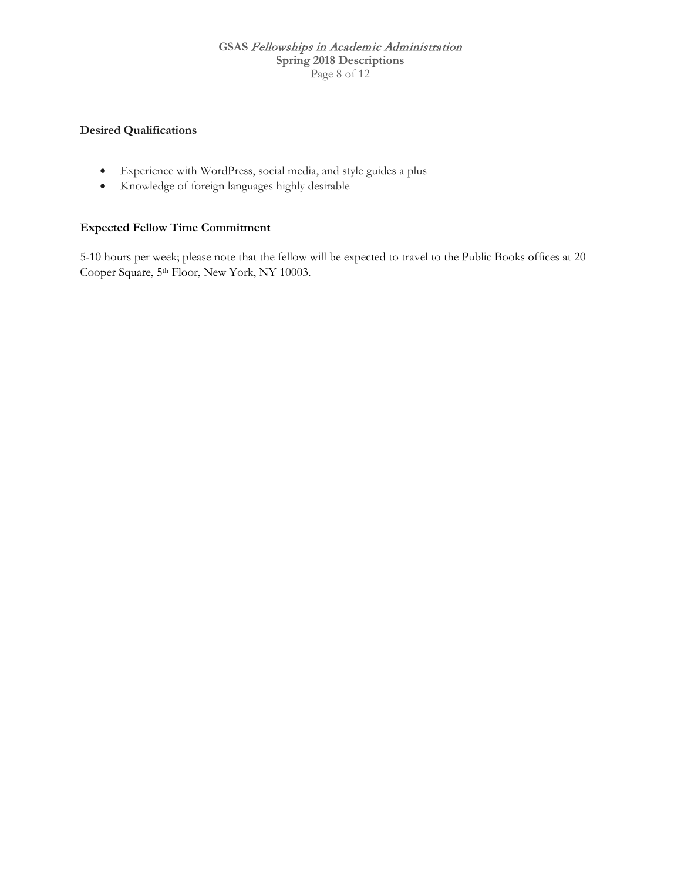### **GSAS** Fellowships in Academic Administration **Spring 2018 Descriptions** Page 8 of 12

### **Desired Qualifications**

- Experience with WordPress, social media, and style guides a plus
- Knowledge of foreign languages highly desirable

### **Expected Fellow Time Commitment**

5-10 hours per week; please note that the fellow will be expected to travel to the Public Books offices at 20 Cooper Square, 5th Floor, New York, NY 10003.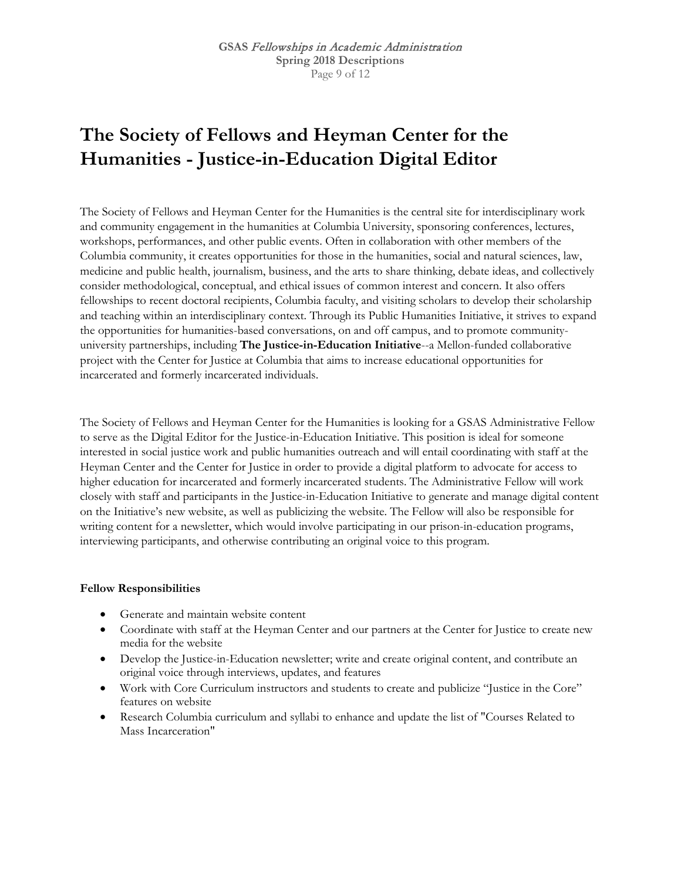# **The Society of Fellows and Heyman Center for the Humanities - Justice-in-Education Digital Editor**

The Society of Fellows and Heyman Center for the Humanities is the central site for interdisciplinary work and community engagement in the humanities at Columbia University, sponsoring conferences, lectures, workshops, performances, and other public events. Often in collaboration with other members of the Columbia community, it creates opportunities for those in the humanities, social and natural sciences, law, medicine and public health, journalism, business, and the arts to share thinking, debate ideas, and collectively consider methodological, conceptual, and ethical issues of common interest and concern. It also offers fellowships to recent doctoral recipients, Columbia faculty, and visiting scholars to develop their scholarship and teaching within an interdisciplinary context. Through its Public Humanities Initiative, it strives to expand the opportunities for humanities-based conversations, on and off campus, and to promote communityuniversity partnerships, including **The Justice-in-Education Initiative**--a Mellon-funded collaborative project with the Center for Justice at Columbia that aims to increase educational opportunities for incarcerated and formerly incarcerated individuals.

The Society of Fellows and Heyman Center for the Humanities is looking for a GSAS Administrative Fellow to serve as the Digital Editor for the Justice-in-Education Initiative. This position is ideal for someone interested in social justice work and public humanities outreach and will entail coordinating with staff at the Heyman Center and the Center for Justice in order to provide a digital platform to advocate for access to higher education for incarcerated and formerly incarcerated students. The Administrative Fellow will work closely with staff and participants in the Justice-in-Education Initiative to generate and manage digital content on the Initiative's new website, as well as publicizing the website. The Fellow will also be responsible for writing content for a newsletter, which would involve participating in our prison-in-education programs, interviewing participants, and otherwise contributing an original voice to this program.

### **Fellow Responsibilities**

- Generate and maintain website content
- Coordinate with staff at the Heyman Center and our partners at the Center for Justice to create new media for the website
- Develop the Justice-in-Education newsletter; write and create original content, and contribute an original voice through interviews, updates, and features
- Work with Core Curriculum instructors and students to create and publicize "Justice in the Core" features on website
- Research Columbia curriculum and syllabi to enhance and update the list of "Courses Related to Mass Incarceration"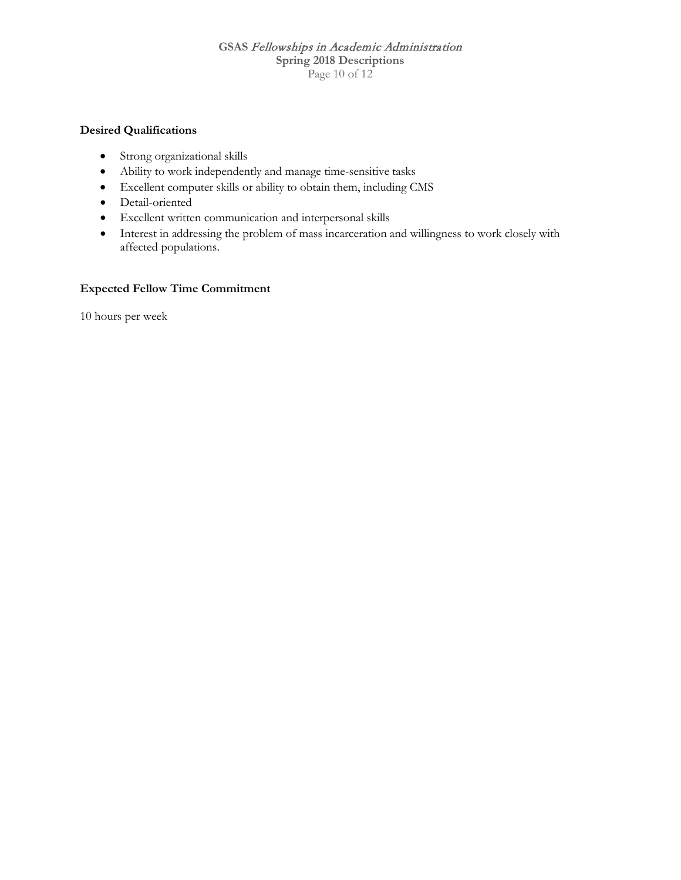### **GSAS** Fellowships in Academic Administration **Spring 2018 Descriptions** Page 10 of 12

### **Desired Qualifications**

- Strong organizational skills
- Ability to work independently and manage time-sensitive tasks
- Excellent computer skills or ability to obtain them, including CMS
- Detail-oriented
- Excellent written communication and interpersonal skills
- Interest in addressing the problem of mass incarceration and willingness to work closely with affected populations.

#### **Expected Fellow Time Commitment**

10 hours per week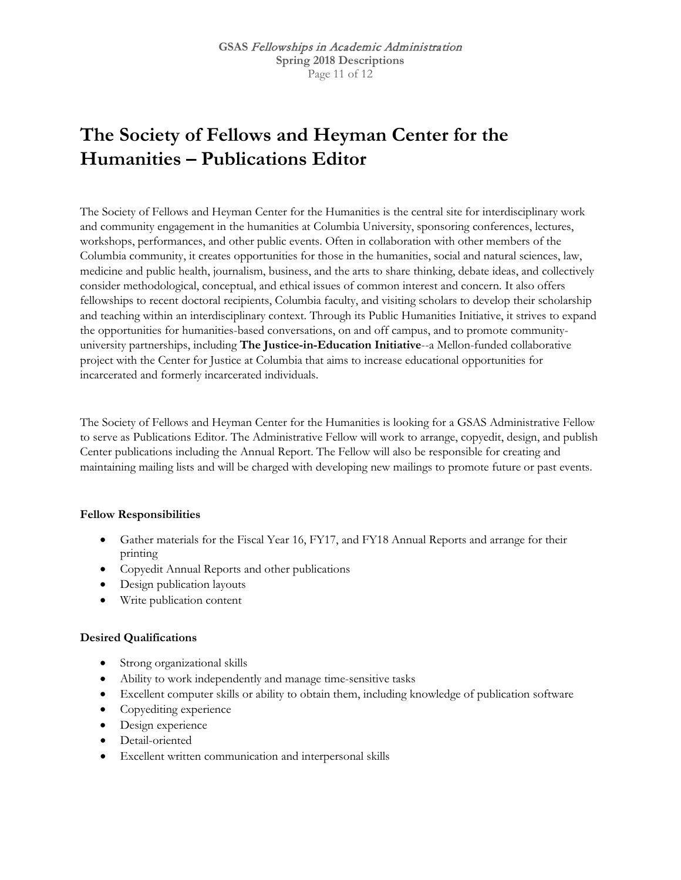# **The Society of Fellows and Heyman Center for the Humanities – Publications Editor**

The Society of Fellows and Heyman Center for the Humanities is the central site for interdisciplinary work and community engagement in the humanities at Columbia University, sponsoring conferences, lectures, workshops, performances, and other public events. Often in collaboration with other members of the Columbia community, it creates opportunities for those in the humanities, social and natural sciences, law, medicine and public health, journalism, business, and the arts to share thinking, debate ideas, and collectively consider methodological, conceptual, and ethical issues of common interest and concern. It also offers fellowships to recent doctoral recipients, Columbia faculty, and visiting scholars to develop their scholarship and teaching within an interdisciplinary context. Through its Public Humanities Initiative, it strives to expand the opportunities for humanities-based conversations, on and off campus, and to promote communityuniversity partnerships, including **The Justice-in-Education Initiative**--a Mellon-funded collaborative project with the Center for Justice at Columbia that aims to increase educational opportunities for incarcerated and formerly incarcerated individuals.

The Society of Fellows and Heyman Center for the Humanities is looking for a GSAS Administrative Fellow to serve as Publications Editor. The Administrative Fellow will work to arrange, copyedit, design, and publish Center publications including the Annual Report. The Fellow will also be responsible for creating and maintaining mailing lists and will be charged with developing new mailings to promote future or past events.

### **Fellow Responsibilities**

- Gather materials for the Fiscal Year 16, FY17, and FY18 Annual Reports and arrange for their printing
- Copyedit Annual Reports and other publications
- Design publication layouts
- Write publication content

### **Desired Qualifications**

- Strong organizational skills
- Ability to work independently and manage time-sensitive tasks
- Excellent computer skills or ability to obtain them, including knowledge of publication software
- Copyediting experience
- Design experience
- Detail-oriented
- Excellent written communication and interpersonal skills